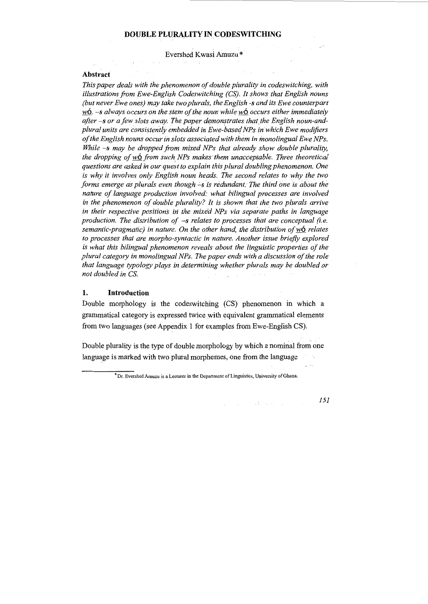#### **DOUBLE PLURALITY IN CODESWITCHING**

Evershed Kwasi Amuzu \*

#### **Abstract**

*This paper deals with the phenomenon of double plurality in codeswitching, with illustrations from Ewe-English Codeswitching (CS). It shows that English nouns (but never Ewe ones) may take two plurals, the English -sand its Ewe counterpart*  w6. *-s always occurs on the stem of the noun while* w6 *occurs either immediately*  after -s or a few slots away. The paper demonstrates that the English noun-and*plural units are consistently embedded in Ewe-basec/ NPs in which Ewe modifiers of the English nouns occur in slots associated with them in monolingual Ewe NPs. While -s may be dropped from mixed NPs that already show double plurality, the dropping of w*<sup>6</sup> *from such NPs makes them unacceptable. Three theoretical questions are asked in our quest to explain this plural doubling phenomenon. One is why it involves only English noun heads. The second relates to why the two forms emerge as plurals even though -s is redundant. The third one is about the nature of language production involved: what bilingual processes are involved in the phenomenon of double plurality? It is shown that the two plurals arrive in their respective positions iri the mixed NPs via separate paths in language production. The distribution of -s relates to processes that are conceptual (i.e. semantic-pragmatic) in nature. On the other hand, the distribution of*  $w6$  *relates to processes that are morpho-syntactic in nature. Another issue briefly explored is what this bilingual phenomenon reveals about the linguistic properties of the plural category in monolingual NPs. The paper ends with a discussion of the role that language typology plays in determining whether plurals may be doubled or not doubled in* CS.  $\sqrt{1+\epsilon}$  $\sim$   $\sim$ 

### **1. Introduction**

Double morphology is the codeswitching (CS) phenomenon in which a grammatical category is expressed twice with equivalent grammatical elements from two languages (see Appendix 1 for examples from Ewe-English CS).

Double plurality is the type of double morphology by which a nominal from one language is marked with two plural morphemes, one from the language

\*Dr. Evershed Amuzu is a Lecturer in the Department of Linguistics, University of Ghana.

Substance.

*151*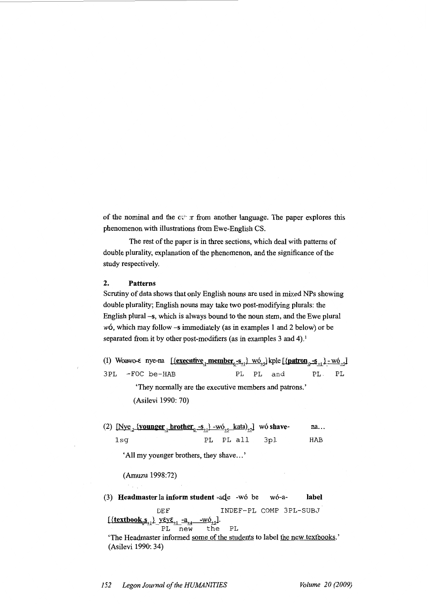of the nominal and the  $c \cdot \cdot r$  from another language. The paper explores this phenomenon with illustrations from Ewe-English CS.

The rest of the paper is in three sections, which deal with patterns of double plurality, explanation of the phenomenon, and the significance of the study respectively.

### **2. Patterns**

Scrutiny of data shows that only English nouns are used in mixed NPs showing double plurality; English nouns may take two post-modifying plurals: the English plural -s, which is always bound to the noun stem, and the Ewe plural  $w\acute{o}$ , which may follow  $-\acute{s}$  immediately (as in examples 1 and 2 below) or be separated from it by other post-modifiers (as in examples 3 and 4).<sup>1</sup>

(1) Woawo- $\epsilon$  nye-na  $\left[\frac{\{execute_{\alpha}, -s_{+}\} \ w_{\alpha_{+s}}\}}{\epsilon_{\alpha_{+s}}}\right]$  kple  $\left[\frac{\{pattern_{\alpha}, -s_{+}\} \ w_{\alpha_{+s}}\}}{\epsilon_{\alpha_{+s}}}\right]$ 3PL -FOC be-HAE PL PL and PL- PL

> 'They normally are the executive members and patrons.' (Asilevi 1990: 70)

(2)  $[Nye_{2}$  {younger<sub>1</sub> brother<sub>0</sub> -s<sub>+1</sub>} -wó<sub>+5</sub> kata)<sub>+7</sub>] wó shavena... lsg PL PL all 3pl HAE

'All my younger brothers, they shave ... '

### (Amuzu 1998:72)

(3) **Headmaster la inform student** -aqe -w6 be w6-a- **label**  DEF INDEF-PL COMP 3PL-SUBJ  $\frac{[\{\text{textbook}_0\text{s}_{11}}\} \text{yey}\text{e}_{11} - a_{14} - w\text{b}_{15}]}{PL}$  $PL$   $new$ 

'The Headmaster informed some of the students to label the new textbooks.' (Asilevi 1990: 34)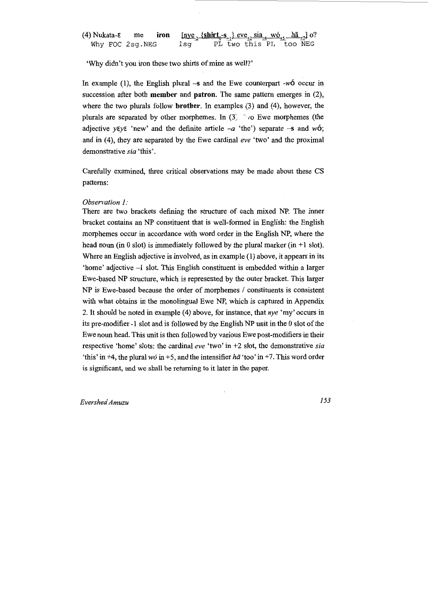|                 | (4) Nukata- $\epsilon$ me iron $[\underline{nye}_{.2} {\text{.}} {\text{shift}}_{0} {\text{-}s}_{.1}]$ eve <sub><math>\underline{r}_2</math></sub> sia <sub><math>\underline{r}_4</math></sub> wo $\underline{r}_5$ $\underline{h\tilde{a}}_{.1}$ o? |  |
|-----------------|------------------------------------------------------------------------------------------------------------------------------------------------------------------------------------------------------------------------------------------------------|--|
| Why FOC 2sg.NEG | PL two this PL too NEG<br>lsa                                                                                                                                                                                                                        |  |

'Why didn't you iron these two shirts of mine as well?'

In example (1), the English plural  $-s$  and the Ewe counterpart  $-w6$  occur in succession after both **member** and **patron.** The same pattern emerges in (2), where the two plurals follow **brother.** In examples (3) and (4), however, the plurals are separated by other morphemes. In  $(3)$   $\rightarrow$   $\infty$  Ewe morphemes (the adjective  $\gamma \varepsilon \gamma \varepsilon$  'new' and the definite article  $-a$  'the') separate  $-s$  and w6; and in (4), they are separated by the Ewe cardinal *eve* 'two' and the proximal demonstrative *sia* 'this'.

Carefully examined, three critical observations may be made about these CS patterns:

#### *Observation 1:*

There are two brackets defining the structure of each mixed NP. The inner bracket contains an NP constituent that is well-formed in English: the English morphemes occur in accordance with word order in the English NP, where the head noun (in 0 slot) is immediately followed by the plural marker (in  $+1$  slot). Where an English adjective is involved, as in example (1) above, it appears in its 'home' adjective -1 slot. This English constituent is embedded within a larger Ewe-based NP structure, which is represented by the outer bracket. This larger  $NP$  is Ewe-based because the order of morphemes  $/$  constituents is consistent with what obtains in the monolingual Ewe NP, which is captured in Appendix 2. It should be noted in example (4) above, for instance, that  $nye$  'my' occurs in its pre-modifier -1 slot and is followed by the English NP unit in the 0 slot of the Ewe noun head. This unit is then followed by various Ewe post-modifiers in their respective 'home' slots: the cardinal *eve* 'two' in +2 slot, the demonstrative *sia*  'this' in +4, the plural  $w\acute{o}$  in +5, and the intensifier  $h\ddot{a}$  'too' in +7. This word order is significant, and we shall be returning to it later in the paper.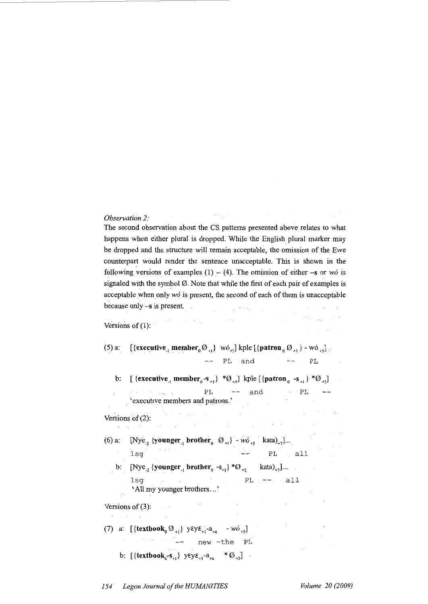### *Observation 2:*

The second observation about the CS patterns presented above relates to what happens when either plural is dropped. While the English plural marker may be dropped and the structure will remain acceptable, the omission of the Ewe counterpart would render the sentence unacceptable. This is shown in the following versions of examples (1) – (4). The omission of either  $-s$  or *wo* is signaled with the symbol  $\emptyset$ . Note that while the first of each pair of examples is acceptable when only *w6* is present, the second of each of them is unacceptable because only -s is present.

**Controller** 

### Versions of  $(1)$ :

#### $(5)$  a: [{executive<sub>1</sub> member<sub>0</sub> $\emptyset$ <sub>+1</sub>} wó<sub>+5</sub>] kple [{patron<sub>0</sub> $\emptyset$ <sub>+1</sub>} - wó<sub>+5</sub>],

 $\alpha$  is a set  $\alpha$ 

 $---$  PL and  $---$  PL

 $\mathcal{L}(\mathcal{A})$  and  $\mathcal{L}(\mathcal{A})$ 

and the state of the state of the

b:  $\left[ \text{ {{execute}_1 member}_0 - s_{+1} \} \right. \left. \right. \left. \left. \left. \left. \mathcal{O}_{+5} \right] \right] \text{ } \text{{kple} \left[ \text{{{pattern}_0 -s}_{+1} \} \right. \left. \mathcal{O}_{+5} \right] \right]$ PL 'executive members and patrons.' and  $\cdot$  PL  $\cdot$  --

#### Versions of (2):  $\lambda$  ,  $\lambda$

(6) a:  $[Nye_{2} \{vounger_{1} brother_{0} \emptyset_{+1}\} - w\delta_{+5} \text{ kata})_{+7}]...$  $\log$  PL all b: [Nye<sub>2</sub> {**younger**<sub>1</sub> **brother**<sub>0</sub> -s<sub>+1</sub>} \*Ø<sub>+5</sub> kata)<sub>+7</sub>]...  $lsq$  PL  $--$  all

Versions of (3):

(7) a:  $\left[ {\{ \text{textbook}_0 \, \emptyset_{+1} \}} \, \text{ygy} \xi_{+1} - a_{+4} \right] - w \delta_{+5} \right]$ -- new -the PL

'All my younger brothers...'

 $\gamma$  ,  $\gamma$  , and

b:  $[\{\text{textbook}_0 - s_{+1}\}\ \text{yEyE}_{+1} - a_{+4} \quad * \emptyset_{+5}]$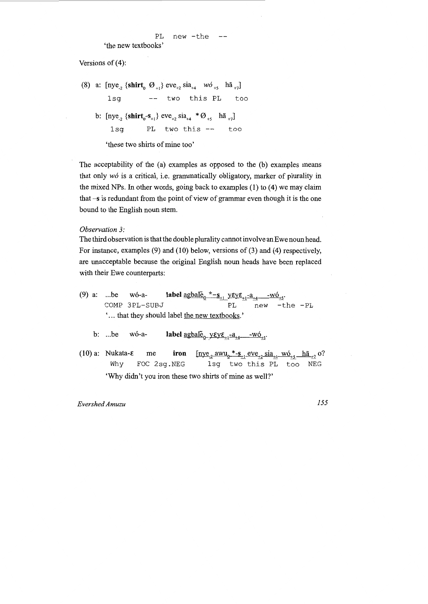PL new -the  $- -$ 

'the new textbooks'

Versions of  $(4)$ :

(8) a:  $[\text{nye}_{2} \{\text{shirt}_{0} \space \varnothing_{+1}\} \text{eve}_{+2} \text{ sia}_{+4} \space \text{wo}_{+5} \space \text{h\~a}_{+7}]$ lsg two this PL too b:  $[\text{nye}_{2} \{\text{shirt}_{0} - s_{+1}\} \text{eve}_{+2} \text{sia}_{+4} * \emptyset_{+5} \text{hä}_{+7}]$  $1sq$  PL two this  $--$  too 'these two shirts of mine too'

The acceptability of the (a) examples as opposed to the (b) examples means that only *w6* is a critical, i.e. grammatically obligatory, marker of plurality in the mixed NPs. In other words, going back to examples (1) to (4) we may claim that  $-s$  is redundant from the point of view of grammar even though it is the one bound to the English noun stem.

*Observation 3:* 

The third observation is that the double plurality cannot involve an Ewe noun head. For instance, examples  $(9)$  and  $(10)$  below, versions of  $(3)$  and  $(4)$  respectively, are unacceptable because the original English noun heads have been replaced with their Ewe counterparts:

(9) a: ...be wó-a- **label**  $\frac{agbal\tilde{e}_0 * - s_{1}}{PL} \frac{y \epsilon y \epsilon_{11} - a_{14}}{P} - w \tilde{e}_{15}$ .<br>COMP 3PL-SUBJ PL new -t new -the -PL '... that they should label the new textbooks.' b: ... be wó-a- **label**  $\underline{\text{agbal}}_{0}^{\alpha} \underline{\text{vky}}_{1}^{\alpha} = \underline{\text{w6}}_{1}^{\alpha}$ .  $[\text{nye}_{2} \text{ awu}_{0} \text{ *-s}_{11} \text{ eve}_{12} \text{ sia}_{14} \text{ w6}_{15} \text{ -h}\text{\&a}_{12} \text{ o?}]$ (10) a: Nukata-E me **iron**  Why FOC 2sg.NEG 1sg two this PL too NEG 'Why didn't you iron these two shirts of mine as well?'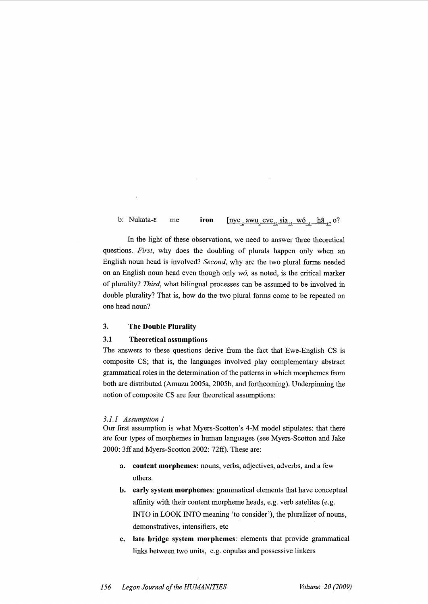b: Nukata-c me **iron**   $[\text{nye}_{2}$  awu<sub>0</sub> eve<sub>+2</sub> sia<sub>+4</sub> wó<sub>+5</sub> hã<sub>+7</sub> o?

In the light of these observations, we need to answer three theoretical questions. *First,* why does the doubling of plurals happen only when an English noun head is involved? *Second,* why are the two plural forms needed on an English noun head even though only *w6,* as noted, is the critical marker of plurality? *Third,* what bilingual processes can be assumed to be involved in double plurality? That is, how do the two plural forms come to be repeated on one head noun?

## **3. The Double Plurality**

### **3.1 Theoretical assumptions**

The answers to these questions derive from the fact that Ewe-English CS is composite CS; that is, the languages involved play complementary abstract grammatical roles in the determination of the patterns in which morphemes from both are distributed (Amuzu 2005a, 2005b, and forthcoming). Underpinning the notion of composite CS are four theoretical assumptions:

#### *3.1.1 Assumption 1*

Our first assumption is what Myers-Scotton's 4-M model stipulates: that there are four types of morphemes in human languages (see Myers-Scotton and Jake 2000: 3ff and Myers-Scotton 2002: 72ff). These are:

- **a. content morphemes:** nouns, verbs, adjectives, adverbs, and a few others.
- **b. early system morphemes:** grammatical elements that have conceptual affinity with their content morpheme heads, e.g. verb satelites (e.g. INTO in LOOK INTO meaning 'to consider'), the pluralizer of nouns, demonstratives, intensifiers, etc
- **c. late bridge system morphemes:** elements that provide grammatical links between two units, e.g. copulas and possessive linkers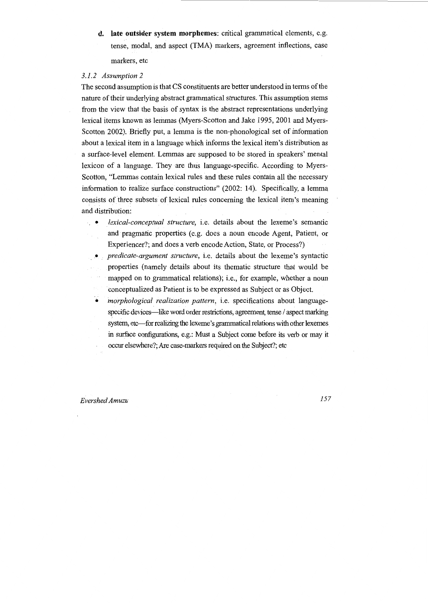**d. late outsider system morphemes:** critical grammatical elements, e.g. tense, modal, and aspect (TMA) markers, agreement inflections, case markers, etc

### *3.1.2 Assumption 2*

The second assumption is that CS constituents are better understood in terms of the nature of their underlying abstract grammatical structures. This assumption stems from the view that the basis of syntax is the abstract representations underlying lexical items known as lemmas (Myers-Scotton and Jake 1995, 2001 and Myers-Scotton 2002). Briefly put, a lemma is the non-phonological set of information about a lexical item in a language which informs the lexical item's distribution as a surface-level element. Lemmas are supposed to be stored in speakers' mental lexicon of a language. They are thus language-specific. According to Myers-Scotton, "Lemmas contain lexical rules and these rules contain all the necessary information to realize surface constructions" (2002: 14). Specifically, a lemma consists of three subsets of lexical rules concerning the lexical item's meaning and distribution:

- *lexical-conceptual structure,* i.e. details about the lexeme's semantic and pragmatic properties (e.g. does a noun encode Agent, Patient, or Experiencer?; and does a verb encode Action, State, or Process?)
- *predicate-argument structure,* i.e. details about the lexeme's syntactic properties (namely details about its thematic structure that would be mapped on to grammatical relations); i.e., for example, whether a noun conceptualized as Patient is to be expressed as Subject or as Object.
- *morphological realization pattern,* i.e. specifications about languagespecific devices-like word order restrictions, agreement, tense / aspect marking system, etc-for realizing the lexeme's grammatical relations with other lexemes in surface configurations, e.g.: Must a Subject come before its verb or may it occur elsewhere?; Are case-markers required on the Subject?; etc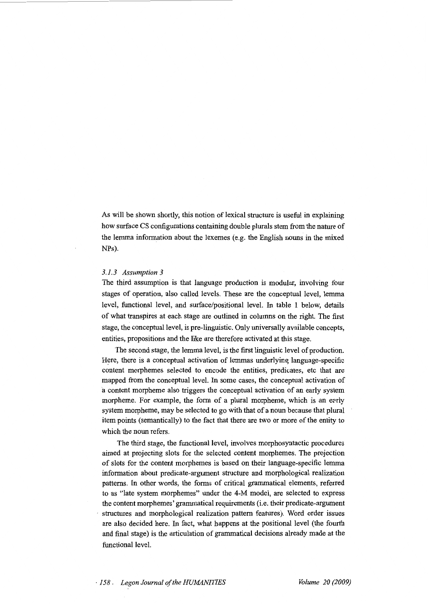As will be shown shortly, this notion of lexical structure is useful in explaining how surface CS configurations containing double plurals stem from the nature of the lemma information about the lexemes (e.g. the English nouns in the mixed NPs).

#### *3.1.3 Assumption 3*

The third assumption is that language production is modular, involving four stages of operation, also called levels. These are the conceptual level, lemma level, functional level, and surface/positional level. In table 1 below, details of what transpires at each stage are outlined in columns on the right. The first stage, the conceptual level, is pre-linguistic. Only universally available concepts, entities, propositions and the like are therefore activated at this stage.

The second stage, the lemma level, is the first linguistic level of production. Here, there is a conceptual activation of lemmas underlying language-specific content morphemes selected to encode the entities, predicates, etc that are mapped from the conceptual level. In some cases, the conceptual activation of a content morpheme also triggers the conceptual activation of an early system morpheme. For example, the form of a plural morpheme, which is an early system morpheme, may be selected to go with that of a noun because that plural item points (semantically) to the fact that there are two or more of the entity to which the noun refers.

The third stage, the functional level, involves morphosyntactic procedures aimed at projecting slots for the selected content morphemes. The projection of slots for the content morphemes is based on their language-specific lemma information about predicate-argument structure and morphological realization patterns. In other words, the forms of critical grammatical elements, referred to as "late system morphemes" under the 4-M model, are selected to express the content morphemes' grammatical requirements (i.e. their predicate-argument structures and morphological realization pattern features). Word order issues are also decided here. In fact, what happens at the positional level (the fourth and final stage) is the articulation of grammatical decisions already made at the functional level.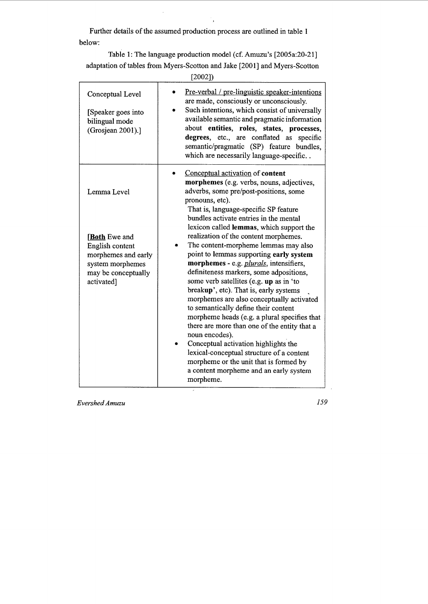Further details of the assumed production process are outlined in table 1 below:

 $\ddot{\phantom{0}}$ 

Table 1: The language production model (cf. Amuzu's [2005a:20-21] adaptation of tables from Myers-Scotton and Jake [2001] and Myers-Scotton

[2002])

| Conceptual Level<br>[Speaker goes into<br>bilingual mode<br>(Grosjean 2001).]                                          | Pre-verbal / pre-linguistic speaker-intentions<br>are made, consciously or unconsciously.<br>Such intentions, which consist of universally<br>available semantic and pragmatic information<br>about entities, roles, states, processes,<br>degrees, etc., are conflated as<br>specific<br>semantic/pragmatic (SP) feature bundles,<br>which are necessarily language-specific                                                                                                                                                                                                                                                                                                                    |  |  |  |
|------------------------------------------------------------------------------------------------------------------------|--------------------------------------------------------------------------------------------------------------------------------------------------------------------------------------------------------------------------------------------------------------------------------------------------------------------------------------------------------------------------------------------------------------------------------------------------------------------------------------------------------------------------------------------------------------------------------------------------------------------------------------------------------------------------------------------------|--|--|--|
| Lemma Level                                                                                                            | Conceptual activation of content<br>morphemes (e.g. verbs, nouns, adjectives,<br>adverbs, some pre/post-positions, some<br>pronouns, etc).<br>That is, language-specific SP feature<br>bundles activate entries in the mental<br>lexicon called lemmas, which support the                                                                                                                                                                                                                                                                                                                                                                                                                        |  |  |  |
| <b>Both</b> Ewe and<br>English content<br>morphemes and early<br>system morphemes<br>may be conceptually<br>activated] | realization of the content morphemes.<br>The content-morpheme lemmas may also<br>point to lemmas supporting early system<br>morphemes - e.g. plurals, intensifiers,<br>definiteness markers, some adpositions,<br>some verb satellites (e.g. up as in 'to<br>breakup', etc). That is, early systems<br>morphemes are also conceptually activated<br>to semantically define their content<br>morpheme heads (e.g. a plural specifies that<br>there are more than one of the entity that a<br>noun encodes).<br>Conceptual activation highlights the<br>lexical-conceptual structure of a content<br>morpheme or the unit that is formed by<br>a content morpheme and an early system<br>morpheme. |  |  |  |

*Evershed Amuzu* 

*159*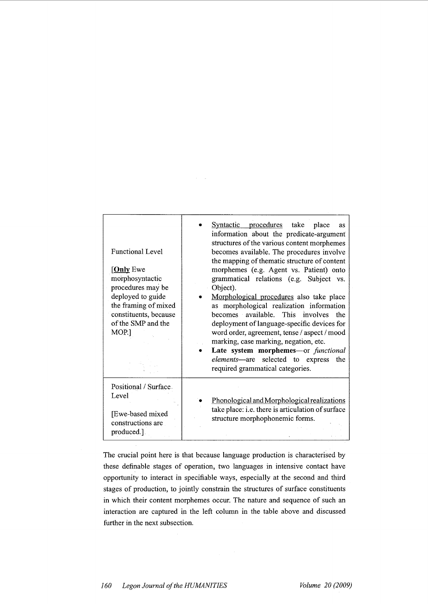| <b>Functional Level</b><br>[ <b>Only</b> Ewe<br>morphosyntactic<br>procedures may be<br>deployed to guide<br>the framing of mixed<br>constituents, because<br>of the SMP and the<br>MOP.] | Syntactic procedures take place<br>as<br>information about the predicate-argument<br>structures of the various content morphemes<br>becomes available. The procedures involve<br>the mapping of thematic structure of content<br>morphemes (e.g. Agent vs. Patient) onto<br>grammatical relations (e.g. Subject vs.<br>Object).<br>Morphological procedures also take place<br>as morphological realization information<br>becomes available. This involves<br>the<br>deployment of language-specific devices for<br>word order, agreement, tense / aspect / mood<br>marking, case marking, negation, etc.<br>Late system morphemes-or functional<br>elements-are selected to express<br>the<br>required grammatical categories. |
|-------------------------------------------------------------------------------------------------------------------------------------------------------------------------------------------|----------------------------------------------------------------------------------------------------------------------------------------------------------------------------------------------------------------------------------------------------------------------------------------------------------------------------------------------------------------------------------------------------------------------------------------------------------------------------------------------------------------------------------------------------------------------------------------------------------------------------------------------------------------------------------------------------------------------------------|
| Positional / Surface.<br>Level<br>[Ewe-based mixed]<br>constructions are<br>produced.].                                                                                                   | Phonological and Morphological realizations<br>take place: i.e. there is articulation of surface<br>structure morphophonemic forms.                                                                                                                                                                                                                                                                                                                                                                                                                                                                                                                                                                                              |

 $\alpha = 1/2$ 

The crucial point here is that because language production is characterised by these definable stages of operation, two languages in intensive contact have opportunity to interact in specifiable ways, especially at the second and third stages of production, to jointly constrain the structures of surface constituents in which their content morphemes occur. The nature and sequence of such an interaction are captured in the left column in the table above and discussed further in the next subsection.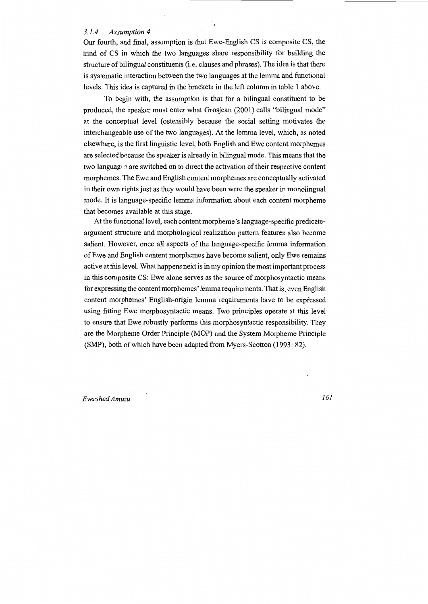#### *3.1.4 Assumption 4*

Our fourth, and final, assumption is that Ewe-English CS is composite CS, the kind of CS in which the two languages share responsibility for building the structure of bilingual constituents (i.e. clauses and phrases). The idea is that there is systematic interaction between the two languages at the lemma and functional levels. This idea is captured in the brackets in the left column in table 1 above.

To begin with, the assumption is that for a bilingual constituent to be produced, the speaker must enter what Grosjean (2001) calls "bilingual mode" at the conceptual level (ostensibly because the social setting motivates the interchangeable use of the two languages). At the lemma level, which, as noted elsewhere, is the first linguistic level, both English and Ewe content morphemes are selected because the speaker is already in bilingual mode. This means that the two languag• s are switched on to direct the activation of their respective content morphemes. The Ewe and English content morphemes are conceptually activated in their own rights just as they would have been were the speaker in monolingual mode. It is language-specific lemma information about each content morpheme that becomes available at this stage.

At the functional level, each content morpheme's language-specific predicateargument structure and morphological realization pattern features also become salient. However, once all aspects of the language-specific lemma information. of Ewe and English content morphemes have become salient, only Ewe remains active at this level. What happens next is in my opinion the most important process in this composite CS: Ewe alone serves as the source of morphosyntactic means for expressing the content morphemes' lemma requirements. That is, even English content morphemes' English-origin lemma requirements have to be expressed using fitting Ewe morphosyntactic means. Two principles operate at this level to ensure that Ewe robustly performs this morphosyntactic responsibility. They are the Morpheme Order Principle (MOP) and the System Morpheme Principle (SMP), both of which have been adapted from Myers-Scotton (1993: 82).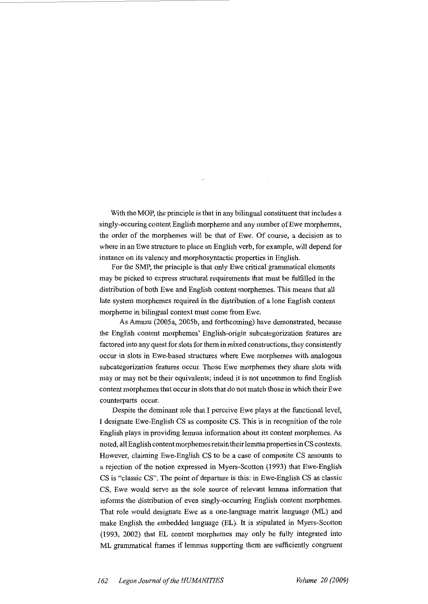With the MOP, the principle is that in any bilingual constituent that includes a singly-occuring content English morpheme and any number of Ewe morphemes, the order of the morphemes will be that of Ewe. Of course, a decision as to where in an Ewe structure to place an English verb, for example, will depend for instance on its valency and morphosyntactic properties in English.

For the SMP, the principle is that only Ewe critical grammatical elements may be picked to express structural requirements that must be fulfilled in the distribution of both Ewe and English content morphemes. This means that all late system morphemes required in the distribution of a lone English content morpheme in bilingual context must come from Ewe.

As Amuzu (2005a, 2005b, and forthcoming) have demonstrated, because the English content morphemes' English-origin subcategorization features are factored into any quest for slots for them in mixed constructions, they consistently occur in slots in Ewe-based structures where Ewe morphemes with analogous subcategorization features occur. Those Ewe morphemes they share slots with may or may not be their equivalents; indeed it is not uncommon to find English content morphemes that occur in slots that do not match those in which their Ewe counterparts occur.

Despite the dominant role that I perceive Ewe plays at the functional level, I designate Ewe-English CS as composite CS. This is in recognition of the role English plays in providing lemma information about its content morphemes. As noted, all English content morphemes retain their lemma properties in CS contexts. However, claiming Ewe-English CS to be a case of composite CS amounts to a rejection of the notion expressed in Myers-Scotton (1993) that Ewe-English CS is "classic CS". The point of departure is this: in Ewe-English CS as classic CS, Ewe would serve as the sole source of relevant lemma information that informs the distribution of even singly-occurring English content morphemes. That role would designate Ewe as a one-language matrix language (ML) and make English the embedded language (EL). It is stipulated in Myers-Scotton (1993, 2002) that EL content morphemes may only be fully integrated into ML grammatical frames if lemmas supporting them are sufficiently congruent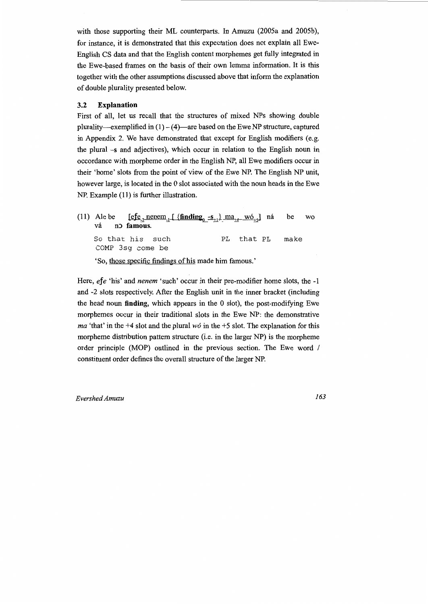with those supporting their ML counterparts. In Amuzu (2005a and 2005b), for instance, it is demonstrated that this expectation does not explain all Ewe-English CS data and that the English content morphemes get fully integrated in the Ewe-based frames on the basis of their own lemma information. It is this together with the other assumptions discussed above that inform the explanation of double plurality presented below.

#### 3.2 **Explanation**

First of all, let us recall that the structures of mixed NPs showing double plurality-exemplified in  $(1) - (4)$ -are based on the Ewe NP structure, captured in Appendix 2. We have demonstrated that except for English modifiers (e.g. the plural -s and adjectives), which occur in relation to the English noun in occordance with morpheme order in the English NP, all Ewe modifiers occur in their 'home' slots from the point of view of the Ewe NP. The English NP unit, however large, is located in the 0 slot associated with the noun heads in the Ewe NP. Example (11) is further illustration.

(11) Ale be  $\left[\frac{\text{efe}_2 \text{nenem}}{L}, \frac{\text{finding}_0 - s_{+1}}{m} \right]$  ma<sub>th</sub> wó<sub>ts</sub>] má vá n**p** famous. So that his such COMP 3sg come be PL that PL 'So, those specific findings of his made him famous.' be WO make

Here, *efe* 'his' and *nenem* 'such' occur in their pre-modifier home slots, the -1 and -2 slots respectively. After the English unit in the inner bracket (including the head noun **finding,** which appears in the 0 slot), the post-modifying Ewe morphemes occur in their traditional slots in the Ewe NP: the demonstrative *ma* 'that' in the +4 slot and the plural *wo* in the +5 slot. The explanation for this morpheme distribution pattern structure (i.e. in the larger NP) is the morpheme order principle (MOP) outlined in the previous section. The Ewe word / constituent order defines the overall structure of the larger NP.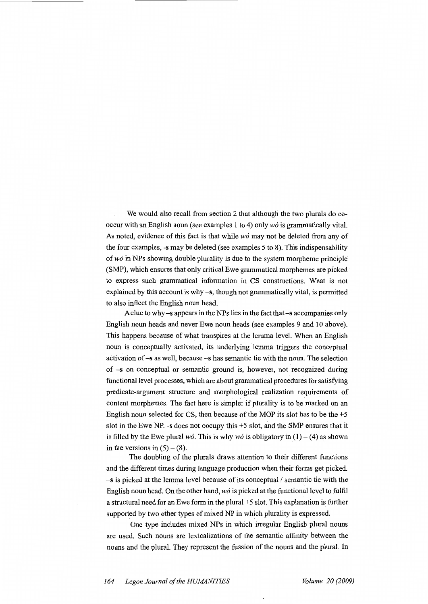We would also recall from section 2 that although the two plurals do cooccur with an English noun (see examples 1 to 4) only *w6* is grammatically vital. As noted, evidence of this fact is that while *w6* may not be deleted from any of the four examples, -s may be deleted (see examples 5 to 8). This indispensability of *w6* in NPs showing double plurality is due to the system morpheme principle (SMP), which ensures that only critical Ewe grammatical morphemes are picked to express such grammatical information in CS constructions. What is not explained by this account is why -s, though not grammatically vital, is permitted to also inflect the English noun head.

A clue to why-s appears in the NPs lies in the fact that -s accompanies only English noun heads and never Ewe noun heads (see examples 9 and 10 above). This happens because of what transpires at the lemma level. When an English noun is conceptually activated, its underlying lemma triggers the conceptual activation of -s as well, because -s has semantic tie with the noun. The selection of -s on conceptual or semantic ground is, however, not recognized during functional level processes, which are about grammatical procedures for satisfying predicate-argument structure and morphological realization requirements of content morphemes. The fact here is simple: if plurality is to be marked on an English noun selected for CS, then because of the MOP its slot has to be the  $+5$ slot in the Ewe NP. -s does not oocupy this +5 slot, and the SMP ensures that it is filled by the Ewe plural *w6*. This is why *w6* is obligatory in  $(1) - (4)$  as shown in the versions in  $(5) - (8)$ .

The doubling of the plurals draws attention to their different functions and the different times during language production when their forms get picked.  $-s$  is picked at the lemma level because of its conceptual / semantic tie with the English noun head. On the other hand, *w6* is picked at the functional level to fulfil a structural need for an Ewe form in the plural +5 slot. This explanation is further supported by two other types of mixed NP in which plurality is expressed.

One type includes mixed NPs in which irregular English plural nouns are used. Such nouns are lexicalizations of the semantic affinity between the nouns and the plural. They represent the fussion of the nouns and the plural. In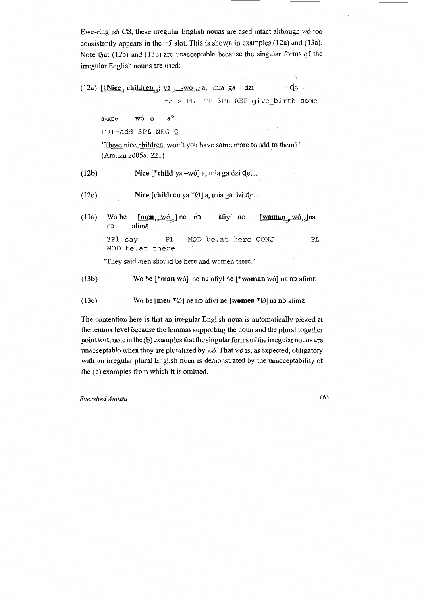Ewe-English CS, these irregular English nouns are used intact although  $w\acute{o}$  too consistently appears in the  $+5$  slot. This is shown in examples (12a) and (13a). Note that (12b) and (13b) are unacceptable because the singular forms of the irregular English nouns are used:

(12a)  $\left[\frac{\text{Nice}}{\text{12a}}\right]$  children<sub>to</sub>}  $\frac{\text{va}}{\text{14}}$  -wó<sub>ts</sub>] a, mia ga dzi qe this PL TP 3PL REP give\_birth some a-kpe wó o a? FUT-add 3PL NEG Q 'These nice children, won't you have some more to add to them?' (Amuzu 2005a: 221) (12b) Nice [\*child ya -wó] a, mia ga dzi de... Nice [children ya \*Ø] a, mia ga dzi **d**e... (12c) (13a) Wo be  $[\underline{men}_{10} \text{wo}_{12}]$  ne no afiyi ne no afime [women<sub>+0</sub> wó<sub>+5</sub>]na afimε 3Pl say PL MOD be.at here CONJ PL MOD be.at there 'They said men should be here and women there.' (13b) Wo be  ${\ast}$ **man** wó ne no afiyi ne  ${\ast}$ **woman** wó na no afime (13c) Wo be  $[\text{men} * \emptyset]$  ne no afiyi ne  $[\text{women} * \emptyset]$  na no afime

The contention here is that an irregular English noun is automatically picked at the lemma level because the lemmas supporting the noun and the plural together pointto it; note in the (b) examples that the singular forms of the irregularnouns are unacceptable when they are pluralized by *w6.* That *w6* is, as expected, obligatory with an irregular plural English noun is demonstrated by the unacceptability of the (c) examples from which it is omitted.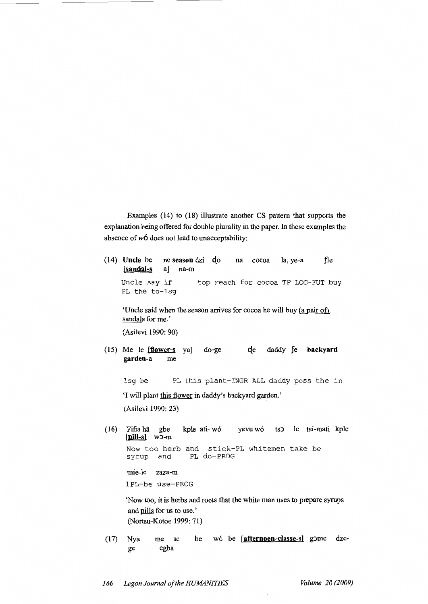Examples (14) to (18) illustrate another CS pattern that supports the explanation being offered for double plurality in the paper. In these examples the absence of  $w\acute{o}$  does not lead to unacceptability:

(14) **Uncle** be ne **season** dzi  $d$ o na cocoa la, ye-a fle<br>[sandal-s a] na-m [sandal-s Uncle say if PL the to-lsg top reach for cocoa TP LOG-FUT buy

'Uncle said when the season arrives for cocoa he will buy (a pair of) sandals for me.'

(Asilevi 1990: 90)

(15) Me le [flower-s ya] do-ge che daddy fe backyard **garden-a** me

lsg be PL this plant-INGR ALL daddy poss the in

'I will plant this flower in daddy's backyard garden.'

(Asilevi 1990: 23)

(16) Fifia ha gbe kple ati- w6 yevu w6 tsJ le tsi-mati kple **[pill-sl** wJ-m Now too herb and stick-PL whitemen take be syrup and PL do-PROG syrup and PL do-PROG

mie-le zaza-m

lPL-be use-PROG

'Now too, it is herbs and roots that the white man uses to prepare syrups and pills for us to use.' (Nortsu-Kotoe 1999: 71)

(17) Nya me se egba be wó be [afternoon-classe-s] gome dzege

*166 Legon Journal of the HUMANITIES Volume 20 (2009)*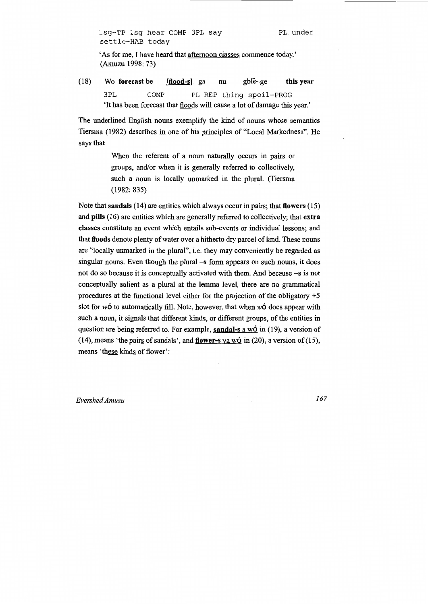'As for me, I have heard that afternoon classes commence today.' (Amuzu 1998: 73)

(18) Wo forecast be [flood-s] ga nu gble-ge this year 3PL COMP PL REP thing spoil-FROG 'It has been forecast that floods will cause a lot of damage this year.'

The underlined English nouns exemplify the kind of nouns whose semantics Tiersma (1982) describes in one of his principles of "Local Markedness". He says that

> When the referent of a noun naturally occurs in pairs or groups, and/or when it is generally referred to collectively, such a noun is locally unmarked in the plural. (Tiersma (1982: 835)

Note that sandals (14) are entities which always occur in pairs; that flowers (15) and pills (16) are entities which are generally referred to collectively; that extra classes constitute an event which entails sub-events or individual lessons; and that floods denote plenty of water over a hitherto dry parcel of land. These nouns are "locally unmarked in the plural", i.e. they may conveniently be regarded as singular nouns. Even though the plural -s form appears on such nouns, it does not do so because it is conceptually activated with them. And because -s is not conceptually salient as a plural at the lemma level, there are no grammatical procedures at the functional level either for the projection of the obligatory +5 slot for  $w\acute{o}$  to automatically fill. Note, however, that when  $w\acute{o}$  does appear with such a noun, it signals that different kinds, or different groups, of the entities in question are being referred to. For example, sandal-s a wó in  $(19)$ , a version of (14), means 'the pairs of sandals', and **flower-s** ya w6 in (20), a version of (15), means 'these kinds of flower':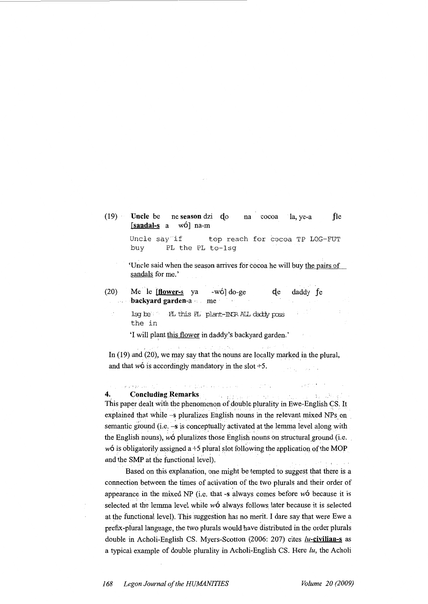$(19)$ **Uncle** be ne **season** dzi qo na cocoa la, ye-a fle **[sandal-s** a w6] na-m

> Uncle say if top reach for cocoa TP LOG-FUT<br>buy PL the PL to-1sq PL the PL to-lsg

'Uncle said when the season arrives for cocoa he will buy the pairs of sandals for me.'

(20) Me le **[flower-s** ya -wó] do-ge qe daddy fe **backyard garden-a** ·. me · والرواز

> $1$ sq be the in PL this PL plant-INCR ALL daddy poss

'I will plant this flower in daddy's backyard garden.'

In  $(19)$  and  $(20)$ , we may say that the nouns are locally marked in the plural, and that  $w\acute{o}$  is accordingly mandatory in the slot +5.

# **4.** Concluding Remarks **is a concluding Remarks**

This paper dealt with the phenomenon of double plurality in Ewe-English CS. It. explained that while  $-s$  pluralizes English nouns in the relevant mixed NPs on semantic ground (i.e. -s is conceptually activated at the lemma level along with the English nouns),  $w\acute{o}$  pluralizes those English nouns on structural ground (i.e. w6 is obligatorily assigned a +5 plural slot following the application of the MOP and the SMP at the functional level).

Based on this explanation, one might be tempted to suggest that there is a connection between the times of activation of the two plurals and their order of appearance in the mixed NP (i.e. that -s always comes before  $w6$  because it is selected at the lemma level while  $w6$  always follows later because it is selected at the functional level). This suggestion has no merit. I dare say that were Ewe a prefix-plUral language, the two plurals would have distributed in the order plurals double in Acholi-English CS. Myers-Scotton (2006: 207) cites **/u-civilian-s** as a typical example of double plurality in Acholi-English CS. Here *lu,* the Acholi

ings with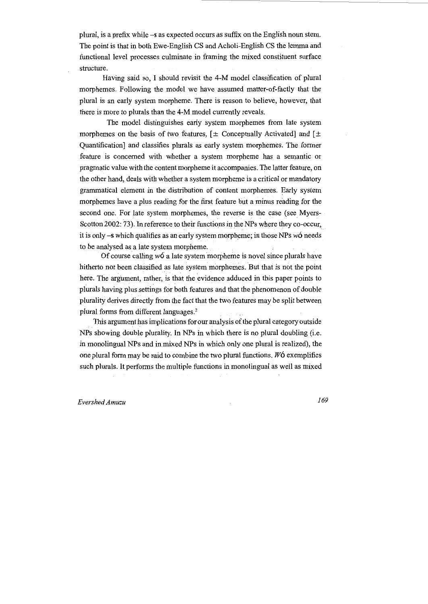plural, is a prefix while -s as expected occurs as suffix on the English noun stem. The point is that in both Ewe-English CS and Acholi-English CS the lemma and functional level processes culminate in framing the mixed constituent surface structure.

Having said so, I should revisit the 4-M model classification of plural morphemes. Following the model we have assumed matter-of-factly that the plural is an early system morpheme. There is reason to believe, however, that there is more to plurals than the 4-M model currently reveals.

The model distinguishes early system morphemes from late system morphemes on the basis of two features,  $[\pm$  Conceptually Activated] and  $[\pm]$ Quantification] and classifies plurals as early system morphemes. The former feature is concerned with whether a system morpheme has a semantic or pragmatic value with the content morpheme it accompanies. The latter feature, on the other hand, deals with whether a system morpheme is a critical or mandatory grammatical element in the distribution of content morphemes. Early system morphemes have a plus reading for the first feature but a minus reading for the second one. For late system morphemes, the reverse is the case (see Myers-Scotton 2002: 73). In reference to their functions in the NPs where they co-occur, it is only  $-s$  which qualifies as an early system morpheme; in those NPs  $w6$  needs to be analysed as a late system morpheme.

Of course calling  $w6$  a late system morpheme is novel since plurals have hitherto not been classified as late system morphemes. But that is not the point here. The argument, rather, is that the evidence adduced in this paper points to plurals having plus settings for both features and that the phenomenon of double plurality derives directly from the fact that the two features may be split between plural forms from different languages.2

. This argument has implications for our analysis of the plural category outside NPs showing double plurality. In NPs in which there is no plural doubling (i.e. in monolingual NPs and in.mixed NPs in which only one plural is realized), the one plural form may be said to combine the two plural functions. *W6* exemplifies such plurals. It performs the multiple functions in monolingual as well as mixed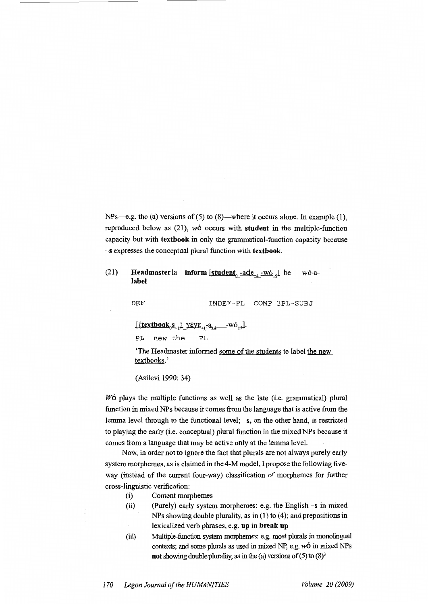NPs-e.g. the (a) versions of (5) to  $(8)$ -where it occurs alone. In example (1), reproduced below as (21), *w6* occurs with **student** in the multiple-function capacity but with **textbook** in only the grammatical-function capacity because -s expresses the conceptual plural function with **textbook.** 

# (21) **Headmaster** la **inform**  $\left[\underline{\text{student}}_0 - \underline{\text{ade}}_{+4} - \underline{\text{wo}}_{+5}\right]$  be wó-a**label**

DEF INDEF-PL COMP 3PL-SUBJ

 $\left[\frac{\{\text{textbook}_0S_{+1}}{\} \ \text{yE}V_{+1} - a_{+4} \ \ -\text{wO}_{+5}}\right].$ 

PL new the PL

'The Headmaster informed some of the students to label the new textbooks.'

(Asilevi 1990: 34)

*W6* plays the multiple functions as well as the late (i.e. grammatical) plural function in mixed NPs because it comes from the language that is active from the lemma level through to the functional level; -s, on the other hand, is restricted to playing the early (i.e. conceptual) plural function in the mixed NPs because it comes from a language that may be active only at the lemma level.

Now, in order not to ignore the fact that plurals are not always purely early system morphemes, as is claimed in the 4-M model, I propose the following fiveway (instead of the current four-way) classification of morphemes for further cross-linguistic verification:

- (i) Content morphemes
- (ii) (Purely) early system morphemes: e.g. the English-sin mixed NPs showing double plurality, as in (1) to (4); and prepositions in lexicalized verb phrases, e.g. **up in break up**
- (iii) Multiple-fimction system morphemes: e.g. most plurals in monolingual contexts; and some plurals as used in mixed NP, e.g.  $w\acute{o}$  in mixed NPs **not** showing double plurality, as in the (a) versions of (5) to  $(8)^3$

*170 Legan Journal of the HUMANITIES Volume 20 (2009)*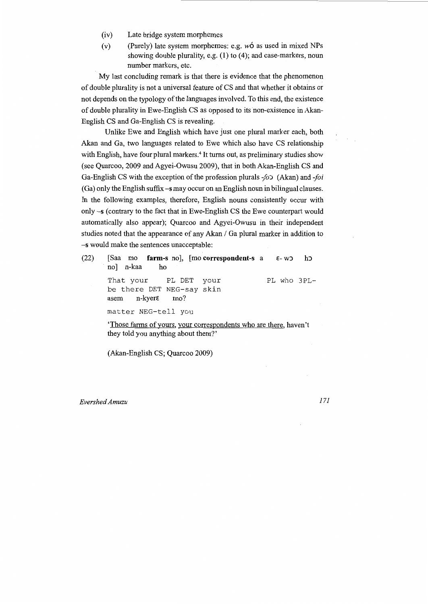- (iv) Late bridge system morphemes
- (v) (Purely) late system morphemes: e.g.  $w\acute{o}$  as used in mixed NPs showing double plurality, e.g. (1) to (4); and case-markers, noun number markers, etc.

My last concluding remark is that there is evidence that the phenomenon of double plurality is not a universal feature of CS and that whether it obtains or not depends on the typology of the languages involved. To this end, the existence of double plurality in Ewe-English CS as opposed to its non-existence in Akan-English CS and Ga-English CS is revealing.

Unlike Ewe and English which have just one plural marker each, both Akan and Ga, two languages related to Ewe which also have CS relationship with English, have four plural markers.<sup>4</sup> It turns out, as preliminary studies show (see Quarcoo, 2009 and Agyei-Owusu 2009), that in both Akan-English CS and Ga-English CS with the exception of the profession plurals *-jo)* (Akan) *and-Joi*  (Ga) only the English suffix-s may occur on an English noun in bilingual clauses. In the following examples, therefore, English nouns consistently occur with only-s (contrary to the fact that in Ewe-English CS the Ewe counterpart would automatically also appear); Quarcoo and Agyei-Owusu in their independent studies noted that the appearance of any Akan / Ga plural marker in addition to -s would make the sentences unacceptable:

| (22) | [Saa mo farm-s no], [mo correspondent-s a ε-wo ho<br>no] n-kaa<br>ho                                     |
|------|----------------------------------------------------------------------------------------------------------|
|      | PL who 3PL-<br>That your PL DET<br>vour<br>be there DET NEG-say skin<br>asem $n$ -kyer $\varepsilon$ mo? |
|      | matter NEG-tell you                                                                                      |
|      | 'Those farms of yours, your correspondents who are there, haven't<br>they told you anything about them?' |

(Akan-English CS; Quarcoo 2009)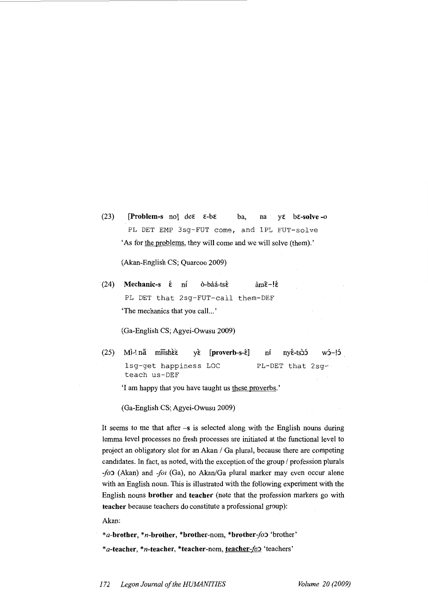(23) [Problem-s no] de $\varepsilon$   $\varepsilon$ -b $\varepsilon$  ba, na y $\varepsilon$  b $\varepsilon$ -solve -o PL DET EMP 3sg-FUT come, and lPL FUT-solve 'As for the problems, they will come and we will solve (them).'

(Akan-English CS; Quarcoo 2009)

(24) Mechanic-s  $\acute{\epsilon}$  ní ò-bàá-ts $\acute{\epsilon}$  àm $\acute{\epsilon}$ -! $\acute{\epsilon}$ PL DET that 2sg-FUT-call them-DEF 'The mechanics that you call...'

(Ga-English CS; Agyei-Owusu 2009)

(25) Mì-! nã miishè *v*è [proverb-s-έ] ní nyέ-ts) w5-!5 lsg-get happiness LOC teach us-DEF PL-DET that 2sg-

'I am happy that you have taught us these proverbs.'

(Ga-English CS; Agyei-Owusu 2009)

It seems to me that after  $-s$  is selected along with the English nouns during lemma level processes no fresh processes are initiated at the functional level to project an obligatory slot for an Akan / Ga plural, because there are competing candidates. In fact, as noted, with the exception of the group / profession plurals *-jo)* (Akan) and *-Joi* (Ga), no Akan/Ga plural marker may even occur alone with an English noun. This is illustrated with the following experiment with the English nouns brother and teacher (note that the profession markers go with teacher because teachers do constitute a professional group):

Akan:

\*a-brother, \*n-brother, \*brother-nom, \*brother-fo> 'brother' \*a-teacher, \*n-teacher, \*teacher-nom, teacher-fol 'teachers'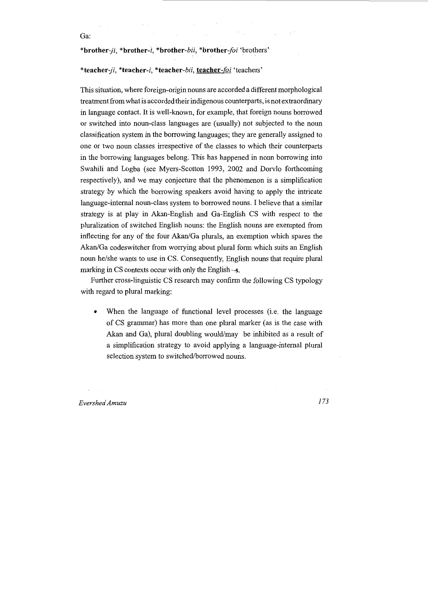#### \*brother-ji, \*brother-i, \*brother-bii, \*brother-foi 'brothers'

#### \*teacher-ji, \*teacher-i, \*teacher-bii, teacher-foi 'teachers'

This situation, where foreign-origin nouns are accorded a different morphological treatment from what is accorded their indigenous counterparts, is not extraordinary in language contact. It is well-known, for example, that foreign nouns borrowed or switched into noun-class languages are (usually) not subjected to the noun classification system in the borrowing languages; they are generally assigned to one or two noun classes irrespective of the classes to which their counterparts in the borrowing languages belong. This has happened in noun borrowing into Swahili and Logba (see Myers-Scotton 1993, 2002 and Dorvlo forthcoming respectively), and we may conjecture that the phenomenon is a simplification strategy by which the borrowing speakers avoid having to apply the intricate language-internal noun-class system to borrowed nouns. I believe that a similar strategy is at play in Akan-English and Ga-English CS with respect to the pluralization of switched English nouns: the English nouns are exempted from inflecting for any of the four Akan/Ga plurals, an exemption which spares the Akan/Ga codeswitcher from worrying about plural form which suits an English noun he/she wants to use in CS. Consequently, English nouns that require plural marking in CS contexts occur with only the English -s.

Further cross-linguistic CS research may confirm the following CS typology with regard to plural marking:

• When the language of functional level processes (i.e. the language of CS grammar) has more than one plural marker (as is the case with Akan and Ga), plural doubling would/may be inhibited as a result of a simplification strategy to avoid applying a language-internal plural selection system to switched/borrowed nouns.

*Evershed Amuzu 173* 

Ga: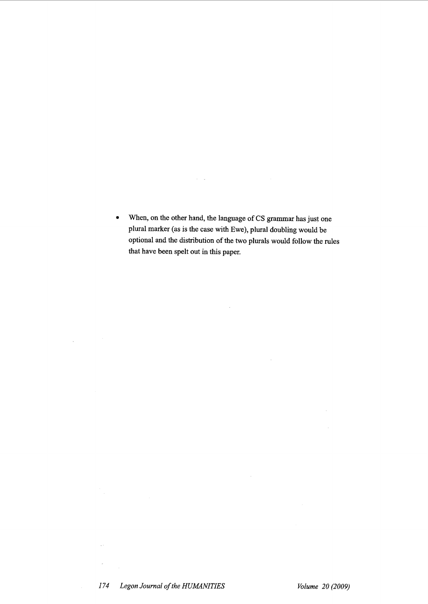• When, on the other hand, the language of CS grammar has just one plural marker (as is the case with Ewe), plural doubling would be optional and the distribution of the two plurals would follow the rules that have been spelt out in this paper.

 $\sim$   $\sim$ 

 $\sim 10^{-1}$ 

 $\mathcal{A}(\mathbf{Q})$  and  $\mathcal{A}(\mathbf{Q})$  are  $\mathcal{A}(\mathbf{Q})$  . The set of  $\mathcal{A}(\mathbf{Q})$ 

 $\Delta\sigma_{\rm{eff}}$ 

 $\frac{1}{2}$ 

 $\mathcal{F}^{(1)}_{\text{max}}$ 

 $\bar{\alpha}$ 

 $\langle \hat{A} \rangle$  .

 $\sim$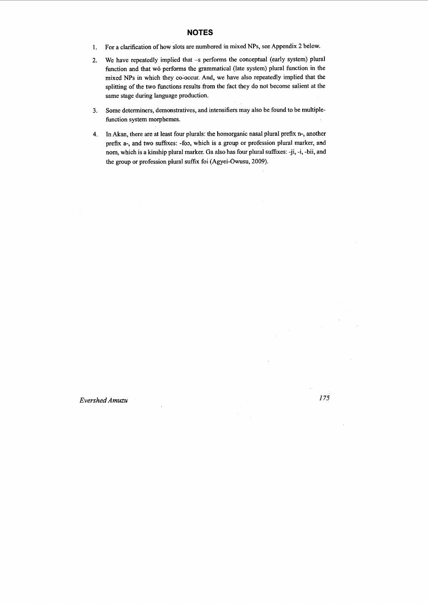### **NOTES**

- 1. For a clarification of how slots are numbered in mixed NPs, see Appendix 2 below.
- 2. We have repeatedly implied that -s performs the conceptual (early system) plural function and that wó performs the grammatical (late system) plural function in the mixed NPs in which they co~occur. And, we have also repeatedly implied that the splitting of the two functions results from the fact they do not become salient at the same stage during language production.
- 3. Some determiners, demonstratives, and intensifiers may also be found to be multiplefunction system morphemes.
- 4. In Akan, there are at least four plurals: the homorganic nasal plural prefix n-, another prefix a-, and two suffixes: -foo, which is a group or profession plural marker, and nom, which is a kinship plural marker. Ga also has four plural suffixes: -ji, -i, -bii, and the group or profession plural suffix foi (Agyei-Owusu, 2009).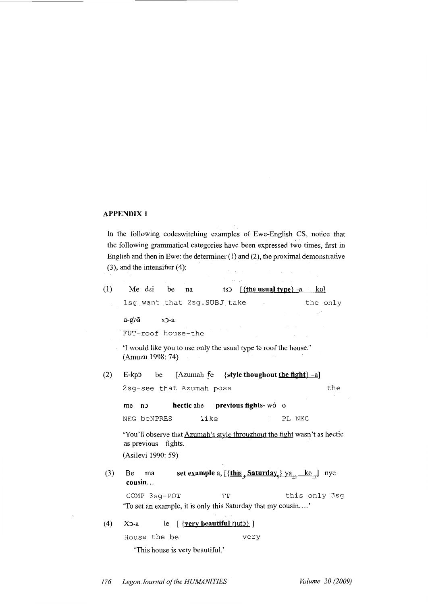# **APPENDIX 1**

In the following codeswitching examples of Ewe-English CS, notice that the following grammatical categories have been expressed two times, first in English and then in Ewe: the determiner (1) and (2), the proximal demonstrative  $(3)$ , and the intensifier  $(4)$ :

| (1) | tsp $[\{\text{the usual type}\} -a \quad \text{ko}]$<br>Me dzi<br>be<br>na                                          |  |  |  |  |  |  |
|-----|---------------------------------------------------------------------------------------------------------------------|--|--|--|--|--|--|
|     | 1sg want that 2sg. SUBJ take<br>the only<br>$\sim$                                                                  |  |  |  |  |  |  |
|     | a-gbã<br>$x$ $-a$                                                                                                   |  |  |  |  |  |  |
|     | FUT-roof house-the                                                                                                  |  |  |  |  |  |  |
|     |                                                                                                                     |  |  |  |  |  |  |
|     | 'I would like you to use only the usual type to roof the house.'<br>(Amuzu 1998: 74)                                |  |  |  |  |  |  |
| (2) | [Azumah fe {style thoughout the fight} -a]<br>$E$ -kp $\sigma$<br>be                                                |  |  |  |  |  |  |
|     | 2sg-see that Azumah poss<br>the                                                                                     |  |  |  |  |  |  |
|     | hectic abe previous fights-wó o<br>n<br>me                                                                          |  |  |  |  |  |  |
|     | like<br>NEG beNPRES<br>PL NEG                                                                                       |  |  |  |  |  |  |
|     | 'You'll observe that Azumah's style throughout the fight wasn't as hectic<br>as previous fights.                    |  |  |  |  |  |  |
|     | (Asilevi 1990: 59)                                                                                                  |  |  |  |  |  |  |
| (3) | set example a, $[\{\text{this}_4 \text{ Saturday}_0\} \text{ya}_{+4} \text{ ko}_{+7}]$<br>Be<br>ma<br>nye<br>cousin |  |  |  |  |  |  |
|     | TP<br>this only 3sg<br>COMP 3sq-POT                                                                                 |  |  |  |  |  |  |
|     | 'To set an example, it is only this Saturday that my cousin'                                                        |  |  |  |  |  |  |
| (4) | $[$ {very beautiful $\eta$ ut $\geq$ $]$<br>X5-a<br>le                                                              |  |  |  |  |  |  |
|     | House-the be<br>very                                                                                                |  |  |  |  |  |  |

'This house is very beautiful.'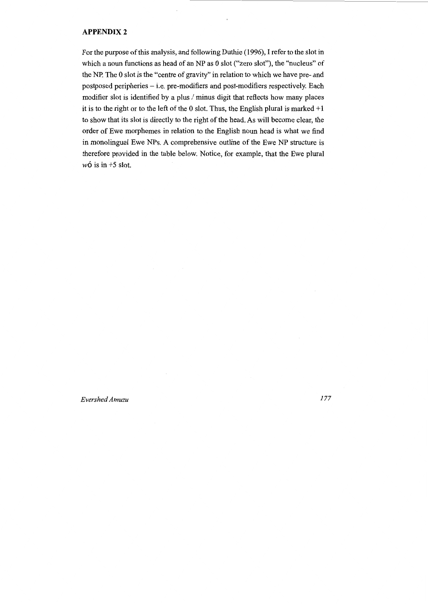#### **APPENDIX2**

For the purpose of this analysis, and following Duthie (1996), I refer to the slot in which a noun functions as head of an NP as 0 slot ("zero slot"), the "nucleus" of the NP. The 0 slot is the "centre of gravity" in relation to which we have pre- and postposed peripheries - i.e. pre-modifiers and post-modifiers respectively. Each modifier slot is identified by a plus / minus digit that reflects how many places it is to the right or to the left of the 0 slot. Thus, the English plural is marked  $+1$ to show that its slot is directly to the right of the head. As will become clear, the order of Ewe morphemes in relation to the English noun head is what we find in monolingual Ewe NPs. A comprehensive outline of the Ewe NP structure is therefore provided in the table below. Notice, for example, that the Ewe plural  $w\acute{o}$  is in +5 slot.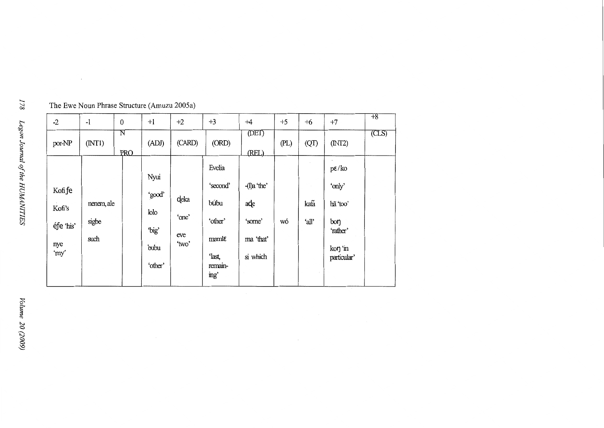| $-2$                                          | $-1$                        | $\boldsymbol{0}$                    | $+1$                                               | $+2$                          | $+3$                                                                                 | $+4$                                                    | $+5$ | $+6$          | $+7$                                                                                 | $+8$  |
|-----------------------------------------------|-----------------------------|-------------------------------------|----------------------------------------------------|-------------------------------|--------------------------------------------------------------------------------------|---------------------------------------------------------|------|---------------|--------------------------------------------------------------------------------------|-------|
| por-NP                                        | (NTI)                       | $\overline{\text{N}}$<br><b>PRO</b> | (ADJ)                                              | (CARD)                        | (ORD)                                                                                | (DET)<br>(REL)                                          | (PL) | (QT)          | (MT2)                                                                                | (CLS) |
| Kofi fe<br>Kofi's<br>éfe 'his'<br>nye<br>'my' | nenem, ale<br>sigbe<br>such |                                     | Nyui<br>'good'<br>lolo<br>'big'<br>bubu<br>'other' | deka<br>'one'<br>eve<br>'two' | Evelia<br>'second'<br>búbu<br>'other'<br>$maml\epsilon$<br>'last,<br>remain-<br>ing' | $-I$ )a 'the'<br>ade<br>'some'<br>ma 'that'<br>si which | wó   | kafa<br>'all' | $p\varepsilon/ko$<br>'only'<br>hã 'too'<br>bon<br>'rather'<br>kon 'in<br>particular' |       |

The Ewe Noun Phrase Structure (Amuzu 2005a)

 $\sim$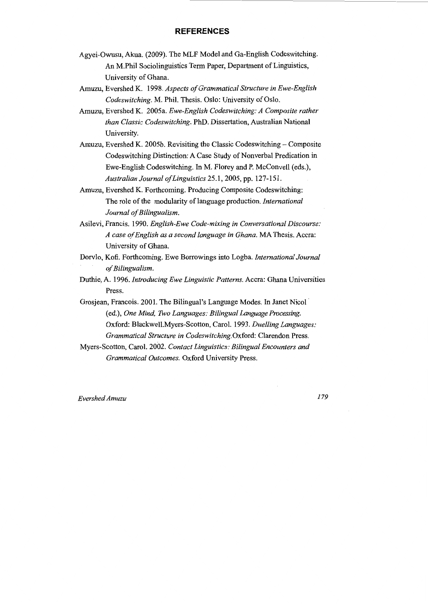### **REFERENCES**

- Agyei-Owusu, Akua. (2009). The MLF Model and Ga-English Codeswitching. An M.Phil Sociolinguistics Term Paper, Department of Linguistics, University of Ghana.
- Amuzu, Evershed K. 1998. *Aspects of Grammatical Structure in Ewe-English Codeswitching.* M. Phil. Thesis. Oslo: University of Oslo.
- Amuzu, Evershed K. 2005a. *Ewe-English Codeswitching: A Composite rather than Classic Codeswitching.* PhD. Dissertation, Australian National University.
- Amuzu, Evershed K. 2005b. Revisiting the Classic Codeswitching  $-$  Composite Codeswitching Distinction: A Case Study of Nonverbal Predication in Ewe-English Codeswitching. In M. Florey and P. McConvell (eds.), *Australian Journal of Linguistics* 25.1, 2005, pp. 127-151.
- Amuzu, Evershed K. Forthcoming. Producing Composite Codeswitching: The role of the modularity of language production. *International Journal of Bilingualism.*
- Asilevi, Francis. 1990. *English-Ewe Code-mixing in Conversational Discourse: A case of English as a second language in Ghana.* MA Thesis. Accra: University of Ghana.
- Dorvlo, Kofi. Forthcoming. Ewe Borrowings into Logba. *International Journal of Bilingualism.*
- Duthie, A. 1996. *Introducing Ewe Linguistic Patterns.* Accra: Ghana Universities Press.
- Grosjean, Francois. 2001. The Bilingual's Language Modes. In Janet Nicol (ed.), *One Mind, Two Languages: Bilingual Language Processing.*  Oxford: Blackwell.Myers-Scotton, Carol. 1993. *Duelling Languages: Grammatical Structure in Codeswitching.* Oxford: Clarendon Press.
- Myers-Scotton, Carol. 2002. *Contact Linguistics: Bilingual Encounters and Grammatical Outcomes.* Oxford University Press.